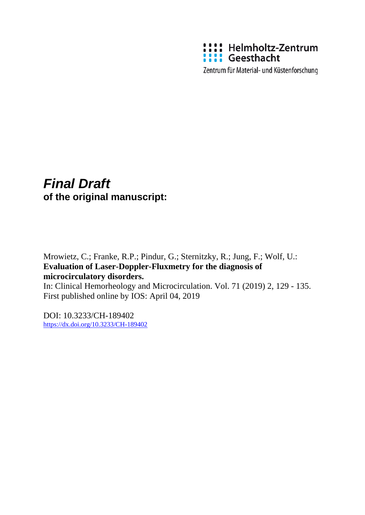

Zentrum für Material- und Küstenforschung

# *Final Draft*  **of the original manuscript:**

Mrowietz, C.; Franke, R.P.; Pindur, G.; Sternitzky, R.; Jung, F.; Wolf, U.: **Evaluation of Laser-Doppler-Fluxmetry for the diagnosis of microcirculatory disorders.** 

In: Clinical Hemorheology and Microcirculation. Vol. 71 (2019) 2, 129 - 135. First published online by IOS: April 04, 2019

DOI: 10.3233/CH-189402 <https://dx.doi.org/10.3233/CH-189402>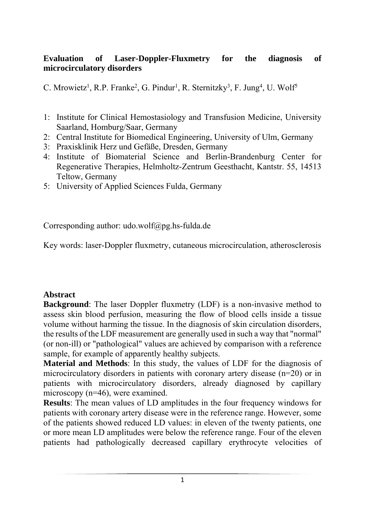#### **Evaluation of Laser-Doppler-Fluxmetry for the diagnosis of microcirculatory disorders**

C. Mrowietz<sup>1</sup>, R.P. Franke<sup>2</sup>, G. Pindur<sup>1</sup>, R. Sternitzky<sup>3</sup>, F. Jung<sup>4</sup>, U. Wolf<sup>5</sup>

- 1: Institute for Clinical Hemostasiology and Transfusion Medicine, University Saarland, Homburg/Saar, Germany
- 2: Central Institute for Biomedical Engineering, University of Ulm, Germany
- 3: Praxisklinik Herz und Gefäße, Dresden, Germany
- 4: Institute of Biomaterial Science and Berlin-Brandenburg Center for Regenerative Therapies, Helmholtz-Zentrum Geesthacht, Kantstr. 55, 14513 Teltow, Germany
- 5: University of Applied Sciences Fulda, Germany

Corresponding author: udo.wolf@pg.hs-fulda.de

Key words: laser-Doppler fluxmetry, cutaneous microcirculation, atherosclerosis

#### **Abstract**

**Background**: The laser Doppler fluxmetry (LDF) is a non-invasive method to assess skin blood perfusion, measuring the flow of blood cells inside a tissue volume without harming the tissue. In the diagnosis of skin circulation disorders, the results of the LDF measurement are generally used in such a way that "normal" (or non-ill) or "pathological" values are achieved by comparison with a reference sample, for example of apparently healthy subjects.

**Material and Methods**: In this study, the values of LDF for the diagnosis of microcirculatory disorders in patients with coronary artery disease (n=20) or in patients with microcirculatory disorders, already diagnosed by capillary microscopy (n=46), were examined.

**Results**: The mean values of LD amplitudes in the four frequency windows for patients with coronary artery disease were in the reference range. However, some of the patients showed reduced LD values: in eleven of the twenty patients, one or more mean LD amplitudes were below the reference range. Four of the eleven patients had pathologically decreased capillary erythrocyte velocities of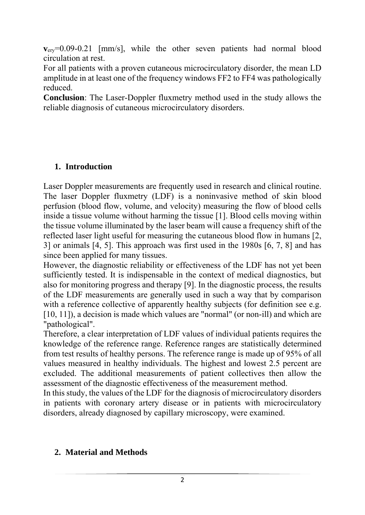**v**<sub>ery</sub>=0.09-0.21 [mm/s], while the other seven patients had normal blood circulation at rest.

For all patients with a proven cutaneous microcirculatory disorder, the mean LD amplitude in at least one of the frequency windows FF2 to FF4 was pathologically reduced.

**Conclusion**: The Laser-Doppler fluxmetry method used in the study allows the reliable diagnosis of cutaneous microcirculatory disorders.

# **1. Introduction**

Laser Doppler measurements are frequently used in research and clinical routine. The laser Doppler fluxmetry (LDF) is a noninvasive method of skin blood perfusion (blood flow, volume, and velocity) measuring the flow of blood cells inside a tissue volume without harming the tissue [1]. Blood cells moving within the tissue volume illuminated by the laser beam will cause a frequency shift of the reflected laser light useful for measuring the cutaneous blood flow in humans [2, 3] or animals [4, 5]. This approach was first used in the 1980s [6, 7, 8] and has since been applied for many tissues.

However, the diagnostic reliability or effectiveness of the LDF has not yet been sufficiently tested. It is indispensable in the context of medical diagnostics, but also for monitoring progress and therapy [9]. In the diagnostic process, the results of the LDF measurements are generally used in such a way that by comparison with a reference collective of apparently healthy subjects (for definition see e.g. [10, 11]), a decision is made which values are "normal" (or non-ill) and which are "pathological".

Therefore, a clear interpretation of LDF values of individual patients requires the knowledge of the reference range. Reference ranges are statistically determined from test results of healthy persons. The reference range is made up of 95% of all values measured in healthy individuals. The highest and lowest 2.5 percent are excluded. The additional measurements of patient collectives then allow the assessment of the diagnostic effectiveness of the measurement method.

In this study, the values of the LDF for the diagnosis of microcirculatory disorders in patients with coronary artery disease or in patients with microcirculatory disorders, already diagnosed by capillary microscopy, were examined.

# **2. Material and Methods**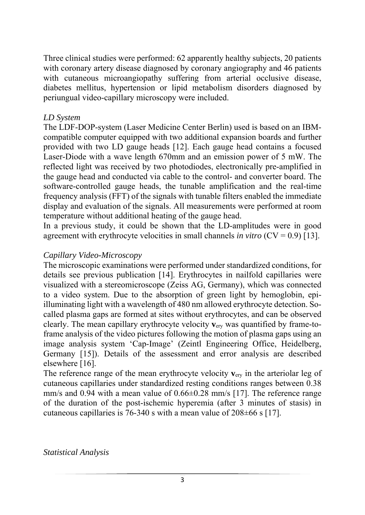Three clinical studies were performed: 62 apparently healthy subjects, 20 patients with coronary artery disease diagnosed by coronary angiography and 46 patients with cutaneous microangiopathy suffering from arterial occlusive disease, diabetes mellitus, hypertension or lipid metabolism disorders diagnosed by periungual video-capillary microscopy were included.

#### *LD System*

The LDF-DOP-system (Laser Medicine Center Berlin) used is based on an IBMcompatible computer equipped with two additional expansion boards and further provided with two LD gauge heads [12]. Each gauge head contains a focused Laser-Diode with a wave length 670mm and an emission power of 5 mW. The reflected light was received by two photodiodes, electronically pre-amplified in the gauge head and conducted via cable to the control- and converter board. The software-controlled gauge heads, the tunable amplification and the real-time frequency analysis (FFT) of the signals with tunable filters enabled the immediate display and evaluation of the signals. All measurements were performed at room temperature without additional heating of the gauge head.

In a previous study, it could be shown that the LD-amplitudes were in good agreement with erythrocyte velocities in small channels *in vitro* (CV = 0.9) [13].

#### *Capillary Video-Microscopy*

The microscopic examinations were performed under standardized conditions, for details see previous publication [14]. Erythrocytes in nailfold capillaries were visualized with a stereomicroscope (Zeiss AG, Germany), which was connected to a video system. Due to the absorption of green light by hemoglobin, epiilluminating light with a wavelength of 480 nm allowed erythrocyte detection. Socalled plasma gaps are formed at sites without erythrocytes, and can be observed clearly. The mean capillary erythrocyte velocity **v**ery was quantified by frame-toframe analysis of the video pictures following the motion of plasma gaps using an image analysis system 'Cap-Image' (Zeintl Engineering Office, Heidelberg, Germany [15]). Details of the assessment and error analysis are described elsewhere [16].

The reference range of the mean erythrocyte velocity **v**ery in the arteriolar leg of cutaneous capillaries under standardized resting conditions ranges between 0.38 mm/s and 0.94 with a mean value of  $0.66\pm0.28$  mm/s [17]. The reference range of the duration of the post-ischemic hyperemia (after 3 minutes of stasis) in cutaneous capillaries is 76-340 s with a mean value of  $208\pm66$  s [17].

*Statistical Analysis*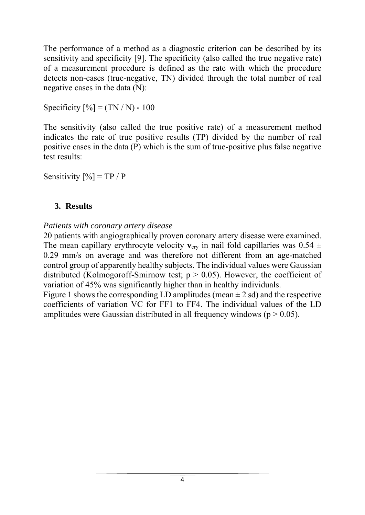The performance of a method as a diagnostic criterion can be described by its sensitivity and specificity [9]. The specificity (also called the true negative rate) of a measurement procedure is defined as the rate with which the procedure detects non-cases (true-negative, TN) divided through the total number of real negative cases in the data (N):

Specificity  $[\%] = (TN / N) * 100$ 

The sensitivity (also called the true positive rate) of a measurement method indicates the rate of true positive results (TP) divided by the number of real positive cases in the data (P) which is the sum of true-positive plus false negative test results:

Sensitivity  $[\%] = TP / P$ 

# **3. Results**

# *Patients with coronary artery disease*

20 patients with angiographically proven coronary artery disease were examined. The mean capillary erythrocyte velocity  $v_{\text{cry}}$  in nail fold capillaries was 0.54  $\pm$ 0.29 mm/s on average and was therefore not different from an age-matched control group of apparently healthy subjects. The individual values were Gaussian distributed (Kolmogoroff-Smirnow test;  $p > 0.05$ ). However, the coefficient of variation of 45% was significantly higher than in healthy individuals.

Figure 1 shows the corresponding LD amplitudes (mean  $\pm$  2 sd) and the respective coefficients of variation VC for FF1 to FF4. The individual values of the LD amplitudes were Gaussian distributed in all frequency windows ( $p > 0.05$ ).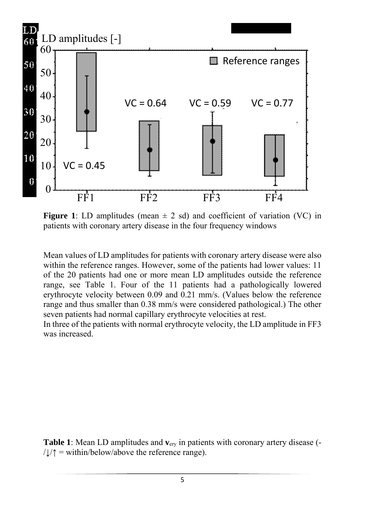

**Figure 1**: LD amplitudes (mean  $\pm$  2 sd) and coefficient of variation (VC) in patients with coronary artery disease in the four frequency windows

Mean values of LD amplitudes for patients with coronary artery disease were also within the reference ranges. However, some of the patients had lower values: 11 of the 20 patients had one or more mean LD amplitudes outside the reference range, see Table 1. Four of the 11 patients had a pathologically lowered erythrocyte velocity between 0.09 and 0.21 mm/s. (Values below the reference range and thus smaller than 0.38 mm/s were considered pathological.) The other seven patients had normal capillary erythrocyte velocities at rest.

In three of the patients with normal erythrocyte velocity, the LD amplitude in FF3 was increased.

**Table 1**: Mean LD amplitudes and **v**ery in patients with coronary artery disease (-  $/\downarrow/\uparrow$  = within/below/above the reference range).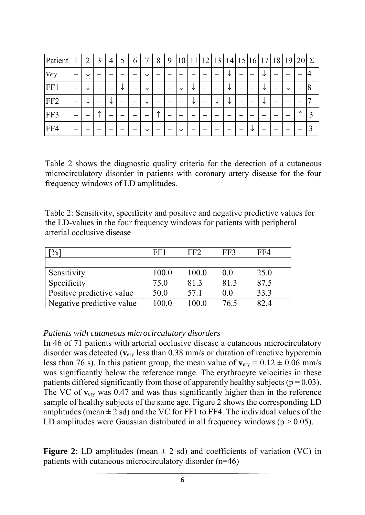| Patient         |                          | $\overline{ }$ | Ć | 4 |   | $\mathfrak b$            |   | 8 | 9 |   |   | $\overline{2}$           | 13 | $\overline{4}$ | 15                       | 6 | 17 | 18 | 19 | $20\vert\Sigma$ |   |
|-----------------|--------------------------|----------------|---|---|---|--------------------------|---|---|---|---|---|--------------------------|----|----------------|--------------------------|---|----|----|----|-----------------|---|
| <b>Very</b>     | $\overline{\phantom{0}}$ | ◡              | _ |   |   |                          | ◡ | _ |   |   | - |                          |    | ╰              | $\overline{\phantom{0}}$ | – | ╰  | _  |    |                 |   |
| FF1             | $\overline{\phantom{0}}$ | ◡              |   |   | ◡ | $\overline{\phantom{0}}$ | ╰ |   |   |   | ↘ | $\overline{\phantom{0}}$ | -  | ╰              | —                        | – | V  |    | ╰  | _               |   |
| FF <sub>2</sub> | $\overline{\phantom{0}}$ | ◡              | _ | ◡ |   | $\overline{\phantom{0}}$ | ╰ | _ |   |   | ◡ | -                        | ╰  | ╰              | -                        |   | ╰  |    |    |                 |   |
| FF3             |                          |                | ∧ | - |   |                          |   | ᄉ |   |   |   |                          |    |                |                          |   |    |    |    | ∧               | 3 |
| FF4             | –                        |                |   |   |   |                          | ◡ |   |   | ◡ |   |                          |    |                |                          | ╰ |    |    |    |                 | 3 |

Table 2 shows the diagnostic quality criteria for the detection of a cutaneous microcirculatory disorder in patients with coronary artery disease for the four frequency windows of LD amplitudes.

Table 2: Sensitivity, specificity and positive and negative predictive values for the LD-values in the four frequency windows for patients with peripheral arterial occlusive disease

| $\frac{1}{2}$             | FF1   | FF <sub>2</sub> | FF3  | FF4  |
|---------------------------|-------|-----------------|------|------|
|                           |       |                 |      |      |
| Sensitivity               | 100.0 | 100.0           | 0.0  | 25.0 |
| Specificity               | 75.0  | 81.3            | 81.3 | 87.5 |
| Positive predictive value | 50.0  | 57.1            | 0.0  | 33.3 |
| Negative predictive value | 100.0 | 100.0           | 76.5 | 82.4 |

#### *Patients with cutaneous microcirculatory disorders*

In 46 of 71 patients with arterial occlusive disease a cutaneous microcirculatory disorder was detected (**v**ery less than 0.38 mm/s or duration of reactive hyperemia less than 76 s). In this patient group, the mean value of  $v_{\text{erv}} = 0.12 \pm 0.06$  mm/s was significantly below the reference range. The erythrocyte velocities in these patients differed significantly from those of apparently healthy subjects ( $p = 0.03$ ). The VC of **v**ery was 0.47 and was thus significantly higher than in the reference sample of healthy subjects of the same age. Figure 2 shows the corresponding LD amplitudes (mean  $\pm 2$  sd) and the VC for FF1 to FF4. The individual values of the LD amplitudes were Gaussian distributed in all frequency windows ( $p > 0.05$ ).

**Figure 2**: LD amplitudes (mean  $\pm$  2 sd) and coefficients of variation (VC) in patients with cutaneous microcirculatory disorder (n=46)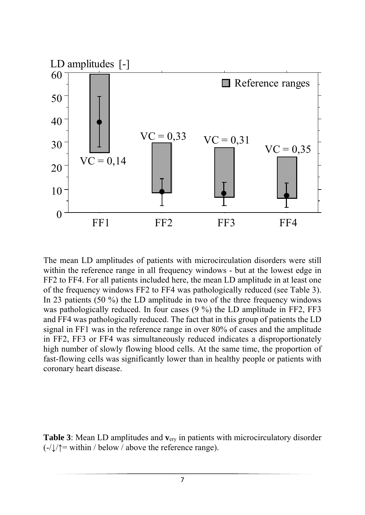

The mean LD amplitudes of patients with microcirculation disorders were still within the reference range in all frequency windows - but at the lowest edge in FF2 to FF4. For all patients included here, the mean LD amplitude in at least one of the frequency windows FF2 to FF4 was pathologically reduced (see Table 3). In 23 patients (50 %) the LD amplitude in two of the three frequency windows was pathologically reduced. In four cases (9 %) the LD amplitude in FF2, FF3 and FF4 was pathologically reduced. The fact that in this group of patients the LD signal in FF1 was in the reference range in over 80% of cases and the amplitude in FF2, FF3 or FF4 was simultaneously reduced indicates a disproportionately high number of slowly flowing blood cells. At the same time, the proportion of fast-flowing cells was significantly lower than in healthy people or patients with coronary heart disease.

**Table 3**: Mean LD amplitudes and **v**ery in patients with microcirculatory disorder  $(-/\sqrt{2})$  within / below / above the reference range).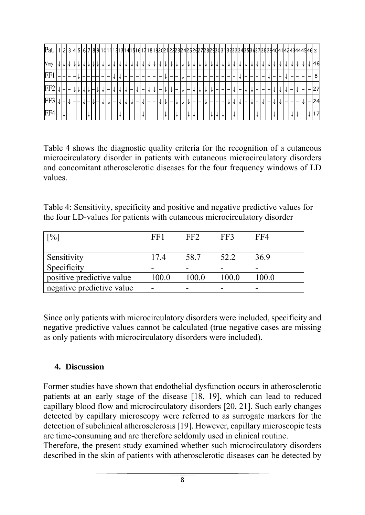| Pat.            |  |  |  |  |  |  |     |        |        |        |    |                          |                          |  |         |  |  |        |  |  |  |  |  |  |  |  |
|-----------------|--|--|--|--|--|--|-----|--------|--------|--------|----|--------------------------|--------------------------|--|---------|--|--|--------|--|--|--|--|--|--|--|--|
| <b>Very</b>     |  |  |  |  |  |  |     |        |        |        |    |                          |                          |  |         |  |  |        |  |  |  |  |  |  |  |  |
| FF              |  |  |  |  |  |  |     |        |        |        |    |                          |                          |  |         |  |  |        |  |  |  |  |  |  |  |  |
| FF <sub>2</sub> |  |  |  |  |  |  |     |        |        |        |    |                          |                          |  |         |  |  |        |  |  |  |  |  |  |  |  |
| FF3             |  |  |  |  |  |  |     |        |        |        |    |                          |                          |  |         |  |  |        |  |  |  |  |  |  |  |  |
| FF4             |  |  |  |  |  |  | I — | $\sim$ | $\sim$ | $\sim$ | -- | $\overline{\phantom{a}}$ | $\overline{\phantom{0}}$ |  | I — I — |  |  | $\sim$ |  |  |  |  |  |  |  |  |

Table 4 shows the diagnostic quality criteria for the recognition of a cutaneous microcirculatory disorder in patients with cutaneous microcirculatory disorders and concomitant atherosclerotic diseases for the four frequency windows of LD values.

Table 4: Sensitivity, specificity and positive and negative predictive values for the four LD-values for patients with cutaneous microcirculatory disorder

| $\frac{10}{6}$            | FF1   | ドドフ  | FF3  | FF4   |
|---------------------------|-------|------|------|-------|
|                           |       |      |      |       |
| Sensitivity               | 174   | 58.7 | 52.2 | 36.9  |
| Specificity               |       |      |      |       |
| positive predictive value | 100.0 | 1000 |      | 100.0 |
| negative predictive value |       |      |      |       |

Since only patients with microcirculatory disorders were included, specificity and negative predictive values cannot be calculated (true negative cases are missing as only patients with microcirculatory disorders were included).

#### **4. Discussion**

Former studies have shown that endothelial dysfunction occurs in atherosclerotic patients at an early stage of the disease [18, 19], which can lead to reduced capillary blood flow and microcirculatory disorders [20, 21]. Such early changes detected by capillary microscopy were referred to as surrogate markers for the detection of subclinical atherosclerosis [19]. However, capillary microscopic tests are time-consuming and are therefore seldomly used in clinical routine.

Therefore, the present study examined whether such microcirculatory disorders described in the skin of patients with atherosclerotic diseases can be detected by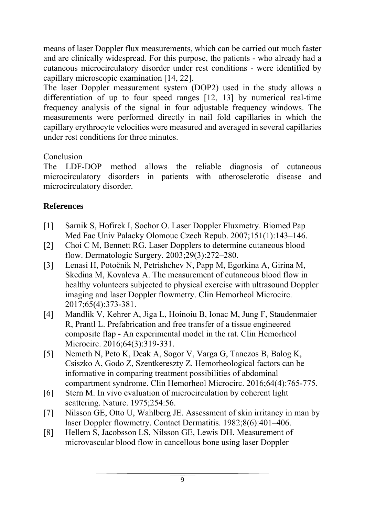means of laser Doppler flux measurements, which can be carried out much faster and are clinically widespread. For this purpose, the patients - who already had a cutaneous microcirculatory disorder under rest conditions - were identified by capillary microscopic examination [14, 22].

The laser Doppler measurement system (DOP2) used in the study allows a differentiation of up to four speed ranges [12, 13] by numerical real-time frequency analysis of the signal in four adjustable frequency windows. The measurements were performed directly in nail fold capillaries in which the capillary erythrocyte velocities were measured and averaged in several capillaries under rest conditions for three minutes.

# Conclusion

The LDF-DOP method allows the reliable diagnosis of cutaneous microcirculatory disorders in patients with atherosclerotic disease and microcirculatory disorder.

# **References**

- [1] Sarnik S, Hofirek I, Sochor O. Laser Doppler Fluxmetry. Biomed Pap Med Fac Univ Palacky Olomouc Czech Repub. 2007;151(1):143–146.
- [2] Choi C M, Bennett RG. Laser Dopplers to determine cutaneous blood flow. Dermatologic Surgery*.* 2003;29(3):272–280.
- [3] Lenasi H, Potočnik N, Petrishchev N, Papp M, Egorkina A, Girina M, Skedina M, Kovaleva A. The measurement of cutaneous blood flow in healthy volunteers subjected to physical exercise with ultrasound Doppler imaging and laser Doppler flowmetry. Clin Hemorheol Microcirc. 2017;65(4):373-381.
- [4] Mandlik V, Kehrer A, Jiga L, Hoinoiu B, Ionac M, Jung F, Staudenmaier R, Prantl L. Prefabrication and free transfer of a tissue engineered composite flap - An experimental model in the rat. Clin Hemorheol Microcirc. 2016;64(3):319-331.
- [5] Nemeth N, Peto K, Deak A, Sogor V, Varga G, Tanczos B, Balog K, Csiszko A, Godo Z, Szentkereszty Z. Hemorheological factors can be informative in comparing treatment possibilities of abdominal compartment syndrome. Clin Hemorheol Microcirc. 2016;64(4):765-775.
- [6] Stern M. In vivo evaluation of microcirculation by coherent light scattering. Nature. 1975;254:56.
- [7] Nilsson GE, Otto U, Wahlberg JE. Assessment of skin irritancy in man by laser Doppler flowmetry. Contact Dermatitis. 1982;8(6):401–406.
- [8] Hellem S, Jacobsson LS, Nilsson GE, Lewis DH. Measurement of microvascular blood flow in cancellous bone using laser Doppler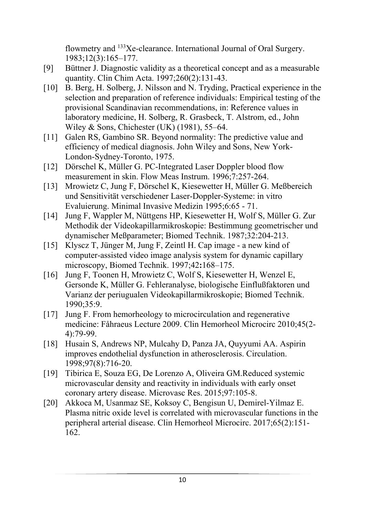flowmetry and 133Xe-clearance. International Journal of Oral Surgery. 1983;12(3):165–177.

- [9] Büttner J. Diagnostic validity as a theoretical concept and as a measurable quantity. Clin Chim Acta. 1997;260(2):131-43.
- [10] B. Berg, H. Solberg, J. Nilsson and N. Tryding, Practical experience in the selection and preparation of reference individuals: Empirical testing of the provisional Scandinavian recommendations, in: Reference values in laboratory medicine, H. Solberg, R. Grasbeck, T. Alstrom, ed., John Wiley & Sons, Chichester (UK) (1981), 55–64.
- [11] Galen RS, Gambino SR. Beyond normality: The predictive value and efficiency of medical diagnosis. John Wiley and Sons, New York-London-Sydney-Toronto, 1975.
- [12] Dörschel K, Müller G. PC-Integrated Laser Doppler blood flow measurement in skin. Flow Meas Instrum. 1996;7:257-264.
- [13] Mrowietz C, Jung F, Dörschel K, Kiesewetter H, Müller G. Meßbereich und Sensitivität verschiedener Laser-Doppler-Systeme: in vitro Evaluierung. Minimal Invasive Medizin 1995;6:65 - 71.
- [14] Jung F, Wappler M, Nüttgens HP, Kiesewetter H, Wolf S, Müller G. Zur Methodik der Videokapillarmikroskopie: Bestimmung geometrischer und dynamischer Meßparameter; Biomed Technik. 1987;32:204-213.
- [15] Klyscz T, Jünger M, Jung F, Zeintl H. Cap image a new kind of computer-assisted video image analysis system for dynamic capillary microscopy, Biomed Technik. 1997;42**:**168–175.
- [16] Jung F, Toonen H, Mrowietz C, Wolf S, Kiesewetter H, Wenzel E, Gersonde K, Müller G. Fehleranalyse, biologische Einflußfaktoren und Varianz der periugualen Videokapillarmikroskopie; Biomed Technik. 1990;35:9.
- [17] Jung F. From hemorheology to microcirculation and regenerative medicine: Fåhraeus Lecture 2009. Clin Hemorheol Microcirc 2010;45(2- 4):79-99.
- [18] Husain S, Andrews NP, Mulcahy D, Panza JA, Quyyumi AA. Aspirin improves endothelial dysfunction in atherosclerosis. Circulation. 1998;97(8):716-20.
- [19] Tibirica E, Souza EG, De Lorenzo A, Oliveira GM.Reduced systemic microvascular density and reactivity in individuals with early onset coronary artery disease. Microvasc Res. 2015;97:105-8.
- [20] Akkoca M, Usanmaz SE, Koksoy C, Bengisun U, Demirel-Yilmaz E. Plasma nitric oxide level is correlated with microvascular functions in the peripheral arterial disease. Clin Hemorheol Microcirc. 2017;65(2):151- 162.